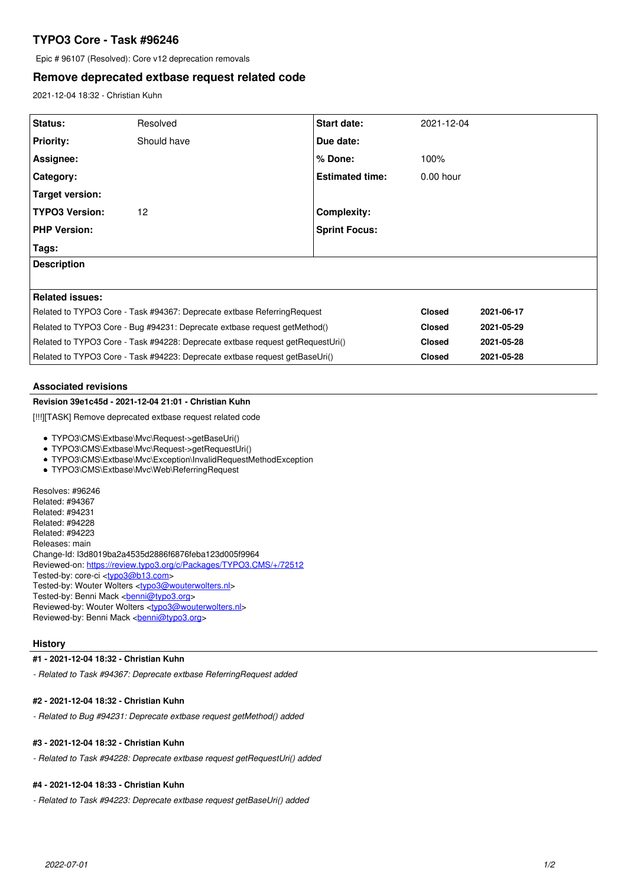# **TYPO3 Core - Task #96246**

Epic # 96107 (Resolved): Core v12 deprecation removals

## **Remove deprecated extbase request related code**

2021-12-04 18:32 - Christian Kuhn

| Status:                                                                        | Resolved    | <b>Start date:</b>     | 2021-12-04    |            |
|--------------------------------------------------------------------------------|-------------|------------------------|---------------|------------|
| <b>Priority:</b>                                                               | Should have | Due date:              |               |            |
| Assignee:                                                                      |             | $%$ Done:              | 100%          |            |
| Category:                                                                      |             | <b>Estimated time:</b> | $0.00$ hour   |            |
| Target version:                                                                |             |                        |               |            |
| <b>TYPO3 Version:</b>                                                          | 12          | <b>Complexity:</b>     |               |            |
| <b>PHP Version:</b>                                                            |             | <b>Sprint Focus:</b>   |               |            |
| Tags:                                                                          |             |                        |               |            |
| <b>Description</b>                                                             |             |                        |               |            |
|                                                                                |             |                        |               |            |
| <b>Related issues:</b>                                                         |             |                        |               |            |
| Related to TYPO3 Core - Task #94367: Deprecate extbase ReferringRequest        |             | <b>Closed</b>          | 2021-06-17    |            |
| Related to TYPO3 Core - Bug #94231: Deprecate extbase request getMethod()      |             | <b>Closed</b>          | 2021-05-29    |            |
| Related to TYPO3 Core - Task #94228: Deprecate extbase request getRequestUri() |             |                        | <b>Closed</b> | 2021-05-28 |
| Related to TYPO3 Core - Task #94223: Deprecate extbase request getBaseUri()    |             |                        | <b>Closed</b> | 2021-05-28 |

#### **Associated revisions**

#### **Revision 39e1c45d - 2021-12-04 21:01 - Christian Kuhn**

[!!!][TASK] Remove deprecated extbase request related code

- TYPO3\CMS\Extbase\Mvc\Request->getBaseUri()
- TYPO3\CMS\Extbase\Mvc\Request->getRequestUri()
- TYPO3\CMS\Extbase\Mvc\Exception\InvalidRequestMethodException
- TYPO3\CMS\Extbase\Mvc\Web\ReferringRequest

Resolves: #96246 Related: #94367 Related: #94231 Related: #94228 Related: #94223 Releases: main Change-Id: I3d8019ba2a4535d2886f6876feba123d005f9964 Reviewed-on:<https://review.typo3.org/c/Packages/TYPO3.CMS/+/72512> Tested-by: core-ci [<typo3@b13.com](mailto:typo3@b13.com)> Tested-by: Wouter Wolters [<typo3@wouterwolters.nl>](mailto:typo3@wouterwolters.nl) Tested-by: Benni Mack <br/>
<u>chenni@typo3.org</u>> Reviewed-by: Wouter Wolters <[typo3@wouterwolters.nl](mailto:typo3@wouterwolters.nl)> Reviewed-by: Benni Mack <br/>
<br/>
conni $\omega$ 

#### **History**

#### **#1 - 2021-12-04 18:32 - Christian Kuhn**

*- Related to Task #94367: Deprecate extbase ReferringRequest added*

#### **#2 - 2021-12-04 18:32 - Christian Kuhn**

*- Related to Bug #94231: Deprecate extbase request getMethod() added*

### **#3 - 2021-12-04 18:32 - Christian Kuhn**

*- Related to Task #94228: Deprecate extbase request getRequestUri() added*

## **#4 - 2021-12-04 18:33 - Christian Kuhn**

*- Related to Task #94223: Deprecate extbase request getBaseUri() added*